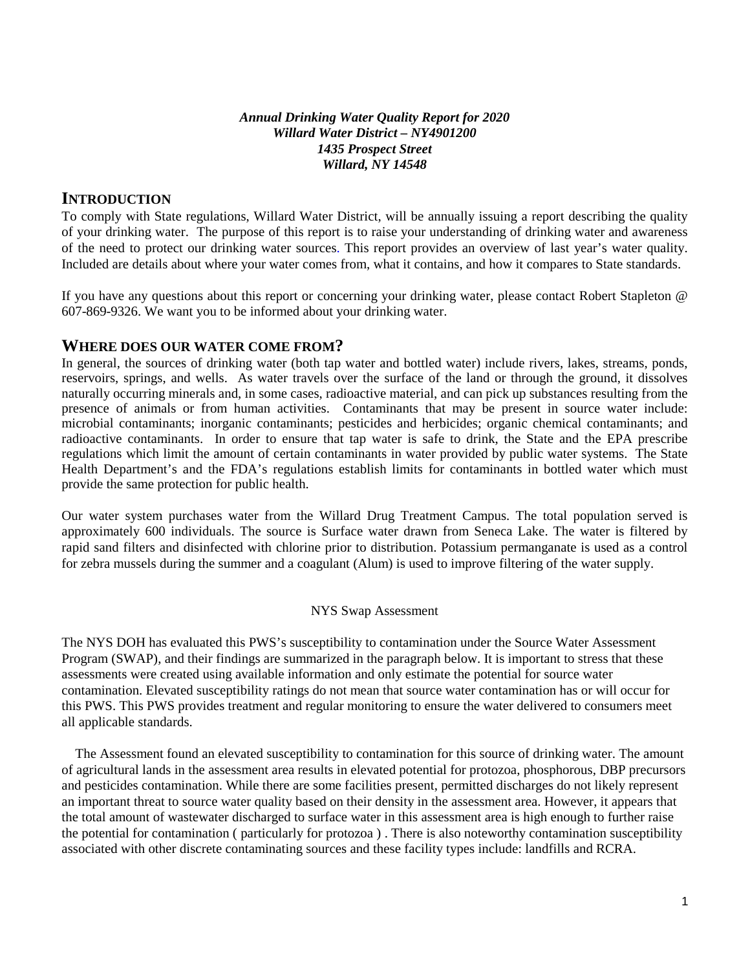#### *Annual Drinking Water Quality Report for 2020 Willard Water District – NY4901200 1435 Prospect Street Willard, NY 14548*

### **INTRODUCTION**

To comply with State regulations, Willard Water District, will be annually issuing a report describing the quality of your drinking water. The purpose of this report is to raise your understanding of drinking water and awareness of the need to protect our drinking water sources. This report provides an overview of last year's water quality. Included are details about where your water comes from, what it contains, and how it compares to State standards.

If you have any questions about this report or concerning your drinking water, please contact Robert Stapleton @ 607-869-9326. We want you to be informed about your drinking water.

### **WHERE DOES OUR WATER COME FROM?**

In general, the sources of drinking water (both tap water and bottled water) include rivers, lakes, streams, ponds, reservoirs, springs, and wells. As water travels over the surface of the land or through the ground, it dissolves naturally occurring minerals and, in some cases, radioactive material, and can pick up substances resulting from the presence of animals or from human activities. Contaminants that may be present in source water include: microbial contaminants; inorganic contaminants; pesticides and herbicides; organic chemical contaminants; and radioactive contaminants. In order to ensure that tap water is safe to drink, the State and the EPA prescribe regulations which limit the amount of certain contaminants in water provided by public water systems. The State Health Department's and the FDA's regulations establish limits for contaminants in bottled water which must provide the same protection for public health.

Our water system purchases water from the Willard Drug Treatment Campus. The total population served is approximately 600 individuals. The source is Surface water drawn from Seneca Lake. The water is filtered by rapid sand filters and disinfected with chlorine prior to distribution. Potassium permanganate is used as a control for zebra mussels during the summer and a coagulant (Alum) is used to improve filtering of the water supply.

#### NYS Swap Assessment

The NYS DOH has evaluated this PWS's susceptibility to contamination under the Source Water Assessment Program (SWAP), and their findings are summarized in the paragraph below. It is important to stress that these assessments were created using available information and only estimate the potential for source water contamination. Elevated susceptibility ratings do not mean that source water contamination has or will occur for this PWS. This PWS provides treatment and regular monitoring to ensure the water delivered to consumers meet all applicable standards.

 The Assessment found an elevated susceptibility to contamination for this source of drinking water. The amount of agricultural lands in the assessment area results in elevated potential for protozoa, phosphorous, DBP precursors and pesticides contamination. While there are some facilities present, permitted discharges do not likely represent an important threat to source water quality based on their density in the assessment area. However, it appears that the total amount of wastewater discharged to surface water in this assessment area is high enough to further raise the potential for contamination ( particularly for protozoa ) . There is also noteworthy contamination susceptibility associated with other discrete contaminating sources and these facility types include: landfills and RCRA.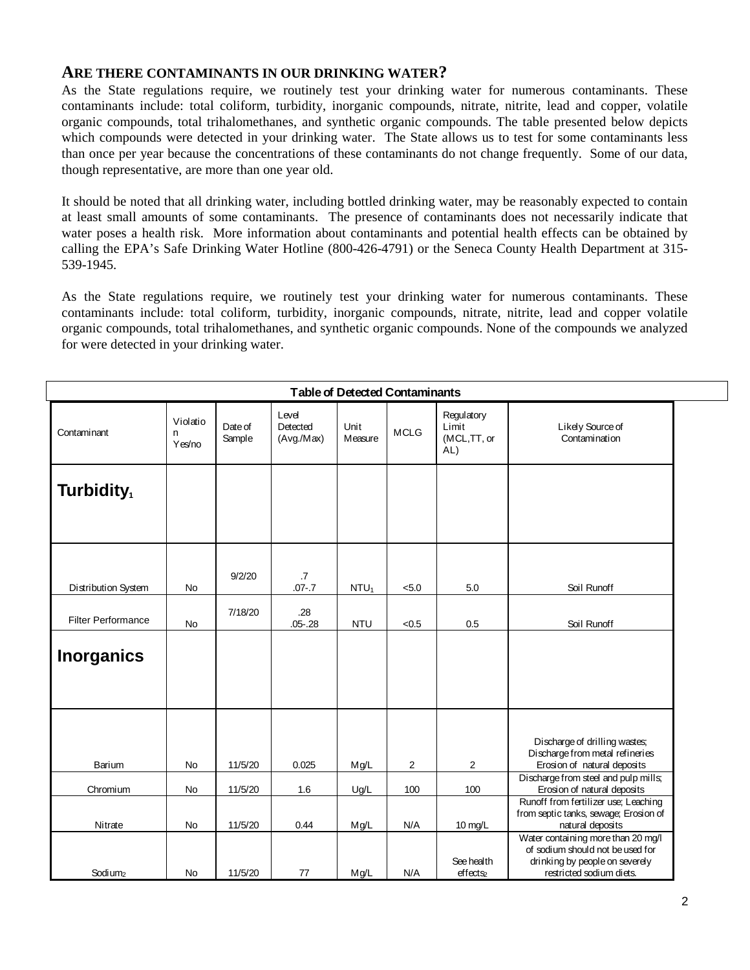### **ARE THERE CONTAMINANTS IN OUR DRINKING WATER?**

As the State regulations require, we routinely test your drinking water for numerous contaminants. These contaminants include: total coliform, turbidity, inorganic compounds, nitrate, nitrite, lead and copper, volatile organic compounds, total trihalomethanes, and synthetic organic compounds. The table presented below depicts which compounds were detected in your drinking water. The State allows us to test for some contaminants less than once per year because the concentrations of these contaminants do not change frequently. Some of our data, though representative, are more than one year old.

It should be noted that all drinking water, including bottled drinking water, may be reasonably expected to contain at least small amounts of some contaminants. The presence of contaminants does not necessarily indicate that water poses a health risk. More information about contaminants and potential health effects can be obtained by calling the EPA's Safe Drinking Water Hotline (800-426-4791) or the Seneca County Health Department at 315- 539-1945.

As the State regulations require, we routinely test your drinking water for numerous contaminants. These contaminants include: total coliform, turbidity, inorganic compounds, nitrate, nitrite, lead and copper volatile organic compounds, total trihalomethanes, and synthetic organic compounds. None of the compounds we analyzed for were detected in your drinking water.

| <b>Table of Detected Contaminants</b> |                          |                   |                                |                  |                |                                           |                                                                                                                                         |  |  |  |  |  |
|---------------------------------------|--------------------------|-------------------|--------------------------------|------------------|----------------|-------------------------------------------|-----------------------------------------------------------------------------------------------------------------------------------------|--|--|--|--|--|
| Contaminant                           | Violatio<br>n.<br>Yes/no | Date of<br>Sample | Level<br>Detected<br>(Avg/Max) | Unit<br>Measure  | <b>MCLG</b>    | Regulatory<br>Limit<br>(MCL,TT, or<br>AL) | Likely Source of<br>Contamination                                                                                                       |  |  |  |  |  |
| Turbidity <sub>1</sub>                |                          |                   |                                |                  |                |                                           |                                                                                                                                         |  |  |  |  |  |
| Distribution System                   | No                       | 9/2/20            | .7<br>$.07 - .7$               | NTU <sub>1</sub> | < 5.0          | 5.0                                       | Soil Runoff                                                                                                                             |  |  |  |  |  |
| <b>Filter Performance</b>             | <b>No</b>                | 7/18/20           | .28<br>$.05 - .28$             | <b>NTU</b>       | < 0.5          | 0.5                                       | Soil Runoff                                                                                                                             |  |  |  |  |  |
| <b>Inorganics</b>                     |                          |                   |                                |                  |                |                                           |                                                                                                                                         |  |  |  |  |  |
| Barium                                | No                       | 11/5/20           | 0.025                          | Mg/L             | $\overline{2}$ | $\overline{2}$                            | Discharge of drilling wastes;<br>Discharge from metal refineries<br>Erosion of natural deposits<br>Discharge from steel and pulp mills; |  |  |  |  |  |
| Chromium                              | <b>No</b>                | 11/5/20           | 1.6                            | Ug/L             | 100            | 100                                       | Erosion of natural deposits<br>Runoff from fertilizer use; Leaching                                                                     |  |  |  |  |  |
| Nitrate                               | No                       | 11/5/20           | 0.44                           | Mg/L             | N/A            | 10 mg/L                                   | from septic tanks, sewage; Erosion of<br>natural deposits                                                                               |  |  |  |  |  |
| Sodi um <sub>2</sub>                  | No                       | 11/5/20           | 77                             | Mg/L             | N/A            | See health<br>effects <sub>2</sub>        | Water containing more than 20 mg/l<br>of sodium should not be used for<br>drinking by people on severely<br>restricted sodium diets.    |  |  |  |  |  |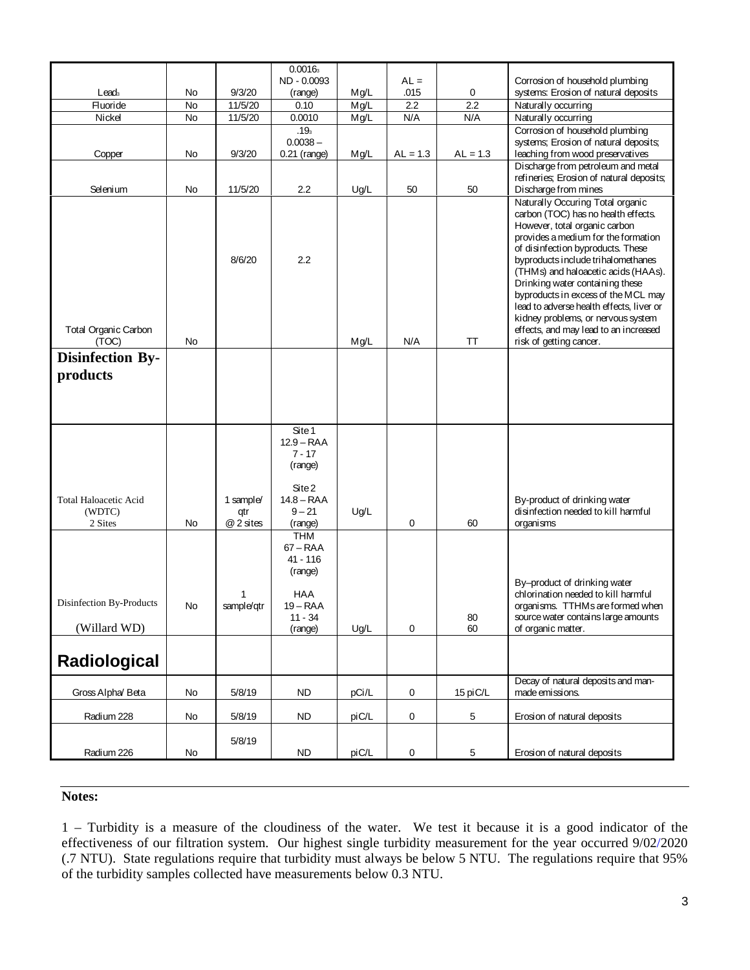|                                                   |          |                               | 0.0016 <sub>3</sub>                                                                            |              |             |            |                                                                                                                                                                                                                                                                                                                                                                                                                                                                        |
|---------------------------------------------------|----------|-------------------------------|------------------------------------------------------------------------------------------------|--------------|-------------|------------|------------------------------------------------------------------------------------------------------------------------------------------------------------------------------------------------------------------------------------------------------------------------------------------------------------------------------------------------------------------------------------------------------------------------------------------------------------------------|
|                                                   |          |                               | ND - 0.0093                                                                                    |              | $AL =$      |            | Corrosion of household plumbing                                                                                                                                                                                                                                                                                                                                                                                                                                        |
| Lead <sub>3</sub><br>Fluoride                     | No<br>No | 9/3/20<br>11/5/20             | (range)<br>0.10                                                                                | Mg/L<br>Mg/L | .015<br>2.2 | 0<br>2.2   | systems: Erosion of natural deposits<br>Naturally occurring                                                                                                                                                                                                                                                                                                                                                                                                            |
| Nickel                                            | No       | 11/5/20                       | 0.0010                                                                                         | Mg/L         | N/A         | N/A        | Naturally occurring                                                                                                                                                                                                                                                                                                                                                                                                                                                    |
|                                                   |          |                               | .19 <sub>3</sub>                                                                               |              |             |            | Corrosion of household plumbing                                                                                                                                                                                                                                                                                                                                                                                                                                        |
|                                                   |          |                               | $0.0038 -$                                                                                     |              |             |            | systems; Erosion of natural deposits;                                                                                                                                                                                                                                                                                                                                                                                                                                  |
| Copper                                            | No       | 9/3/20                        | $0.21$ (range)                                                                                 | Mg/L         | $AL = 1.3$  | $AL = 1.3$ | leaching from wood preservatives<br>Discharge from petroleum and metal                                                                                                                                                                                                                                                                                                                                                                                                 |
|                                                   |          |                               |                                                                                                |              |             |            | refineries; Erosion of natural deposits;                                                                                                                                                                                                                                                                                                                                                                                                                               |
| Selenium                                          | No       | 11/5/20                       | $2.2\,$                                                                                        | Ug/L         | 50          | 50         | Discharge from mines                                                                                                                                                                                                                                                                                                                                                                                                                                                   |
| <b>Total Organic Carbon</b>                       |          | 8/6/20                        | 2.2                                                                                            |              |             |            | Naturally Occuring Total organic<br>carbon (TOC) has no health effects.<br>However, total organic carbon<br>provides a medium for the formation<br>of disinfection byproducts. These<br>byproducts include trihalomethanes<br>(THMs) and haloacetic acids (HAAs).<br>Drinking water containing these<br>byproducts in excess of the MCL may<br>lead to adverse health effects, liver or<br>kidney problems, or nervous system<br>effects, and may lead to an increased |
| (TOC)                                             | No       |                               |                                                                                                | Mg/L         | N/A         | TT         | risk of getting cancer.                                                                                                                                                                                                                                                                                                                                                                                                                                                |
| <b>Disinfection By-</b><br>products               |          |                               |                                                                                                |              |             |            |                                                                                                                                                                                                                                                                                                                                                                                                                                                                        |
| <b>Total Haloacetic Acid</b><br>(WDTC)<br>2 Sites | No       | 1 sample/<br>qtr<br>@ 2 sites | Site 1<br>$12.9 - RAA$<br>$7 - 17$<br>(range)<br>Site 2<br>$14.8 - RAA$<br>$9 - 21$<br>(range) | Ug/L         | 0           | 60         | By-product of drinking water<br>disinfection needed to kill harmful<br>organisms                                                                                                                                                                                                                                                                                                                                                                                       |
|                                                   |          |                               | <b>THM</b><br>$67 - RAA$<br>41 - 116<br>(range)                                                |              |             |            | By-product of drinking water                                                                                                                                                                                                                                                                                                                                                                                                                                           |
|                                                   |          | 1                             | HAA                                                                                            |              |             |            | chlorination needed to kill harmful                                                                                                                                                                                                                                                                                                                                                                                                                                    |
| Disinfection By-Products                          | No       | sample/qtr                    | $19 - RAA$<br>$11 - 34$                                                                        |              |             |            | organisms. TTHMs are formed when                                                                                                                                                                                                                                                                                                                                                                                                                                       |
| (Willard WD)                                      |          |                               | (range)                                                                                        | Ug/L         | 0           | 80<br>60   | source water contains large amounts<br>of organic matter.                                                                                                                                                                                                                                                                                                                                                                                                              |
| <b>Radiological</b>                               |          |                               |                                                                                                |              |             |            |                                                                                                                                                                                                                                                                                                                                                                                                                                                                        |
| Gross Alpha Beta                                  | No       | 5/8/19                        | ND.                                                                                            | pCi/L        | $\mathbf 0$ | 15 piC/L   | Decay of natural deposits and man-<br>made emissions.                                                                                                                                                                                                                                                                                                                                                                                                                  |
|                                                   |          |                               |                                                                                                |              |             |            |                                                                                                                                                                                                                                                                                                                                                                                                                                                                        |
| Radium 228                                        | No       | 5/8/19                        | <b>ND</b>                                                                                      | piC/L        | $\pmb{0}$   | 5          | Erosion of natural deposits                                                                                                                                                                                                                                                                                                                                                                                                                                            |
|                                                   |          | 5/8/19                        |                                                                                                |              |             |            |                                                                                                                                                                                                                                                                                                                                                                                                                                                                        |
| Radium 226                                        | No       |                               | <b>ND</b>                                                                                      | piC/L        | 0           | 5          | Erosion of natural deposits                                                                                                                                                                                                                                                                                                                                                                                                                                            |

#### **Notes:**

1 – Turbidity is a measure of the cloudiness of the water. We test it because it is a good indicator of the effectiveness of our filtration system. Our highest single turbidity measurement for the year occurred 9/02/2020 (.7 NTU). State regulations require that turbidity must always be below 5 NTU. The regulations require that 95% of the turbidity samples collected have measurements below 0.3 NTU.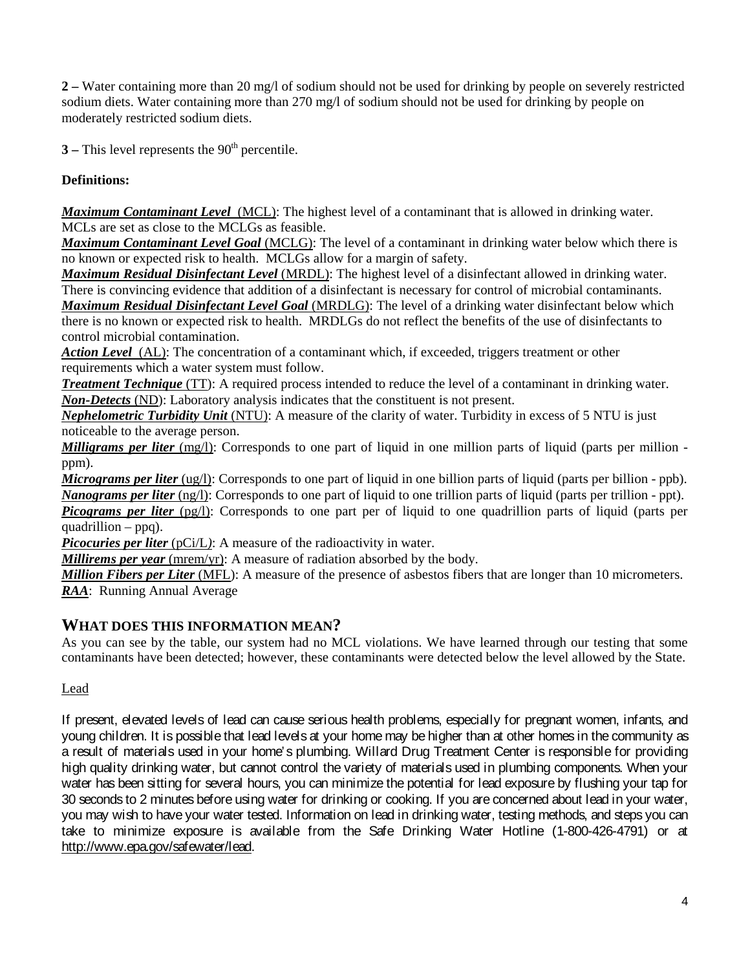**2 –** Water containing more than 20 mg/l of sodium should not be used for drinking by people on severely restricted sodium diets. Water containing more than 270 mg/l of sodium should not be used for drinking by people on moderately restricted sodium diets.

 $3$  – This level represents the 90<sup>th</sup> percentile.

## **Definitions:**

*Maximum Contaminant Level*(MCL): The highest level of a contaminant that is allowed in drinking water. MCLs are set as close to the MCLGs as feasible.

*Maximum Contaminant Level Goal* (MCLG): The level of a contaminant in drinking water below which there is no known or expected risk to health. MCLGs allow for a margin of safety.

*Maximum Residual Disinfectant Level* (MRDL): The highest level of a disinfectant allowed in drinking water. There is convincing evidence that addition of a disinfectant is necessary for control of microbial contaminants. *Maximum Residual Disinfectant Level Goal* (MRDLG): The level of a drinking water disinfectant below which there is no known or expected risk to health. MRDLGs do not reflect the benefits of the use of disinfectants to control microbial contamination.

*Action Level*(AL): The concentration of a contaminant which, if exceeded, triggers treatment or other requirements which a water system must follow.

*Treatment Technique* (TT): A required process intended to reduce the level of a contaminant in drinking water. *Non-Detects* (ND): Laboratory analysis indicates that the constituent is not present.

*Nephelometric Turbidity Unit* (NTU): A measure of the clarity of water. Turbidity in excess of 5 NTU is just noticeable to the average person.

*Milligrams per liter* (mg/l): Corresponds to one part of liquid in one million parts of liquid (parts per million ppm).

*Micrograms per liter* (ug/l): Corresponds to one part of liquid in one billion parts of liquid (parts per billion - ppb). *Nanograms per liter* (ng/l): Corresponds to one part of liquid to one trillion parts of liquid (parts per trillion - ppt). *Picograms per liter (pg/l)*: Corresponds to one part per of liquid to one quadrillion parts of liquid (parts per

 $\overline{quadrillion - ppq}$ .

*Picocuries per liter* (pCi/L): A measure of the radioactivity in water.

*Millirems per year* (mrem/yr): A measure of radiation absorbed by the body.

*Million Fibers per Liter* (MFL): A measure of the presence of asbestos fibers that are longer than 10 micrometers. *RAA*: Running Annual Average

## **WHAT DOES THIS INFORMATION MEAN?**

As you can see by the table, our system had no MCL violations. We have learned through our testing that some contaminants have been detected; however, these contaminants were detected below the level allowed by the State.

### Lead

If present, elevated levels of lead can cause serious health problems, especially for pregnant women, infants, and young children. It is possible that lead levels at your home may be higher than at other homes in the community as a result of materials used in your home's plumbing. Willard Drug Treatment Center is responsible for providing high quality drinking water, but cannot control the variety of materials used in plumbing components. When your water has been sitting for several hours, you can minimize the potential for lead exposure by flushing your tap for 30 seconds to 2 minutes before using water for drinking or cooking. If you are concerned about lead in your water, you may wish to have your water tested. Information on lead in drinking water, testing methods, and steps you can take to minimize exposure is available from the Safe Drinking Water Hotline (1-800-426-4791) or at http://www.epa.gov/safewater/lead.